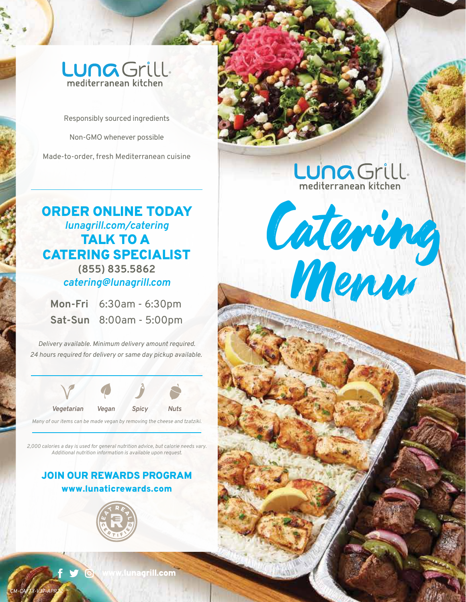# Luna Grill. mediterranean kitchen

Responsibly sourced ingredients

Non-GMO whenever possible

Made-to-order, fresh Mediterranean cuisine

# ORDER ONLINE TODAY *lunagrill.com/catering* TALK TO A CATERING SPECIALIST *catering@lunagrill.com* **(855) 835.5862**

mediterranean kitchen

Menu

**Mon-Fri** 6:30am - 6:30pm **Sat-Sun** 8:00am - 5:00pm

*Delivery available. Minimum delivery amount required. 24 hours required for delivery or same day pickup available.* 



*Many of our items can be made vegan by removing the cheese and tzatziki.*

*2,000 calories a day is used for general nutrition advice, but calorie needs vary. Additional nutrition information is available upon request.*

# www.lunaticrewards.com JOIN OUR REWARDS PROGRAM



*CM-CA/TX-V37-APR22*

**Junagrill.com**